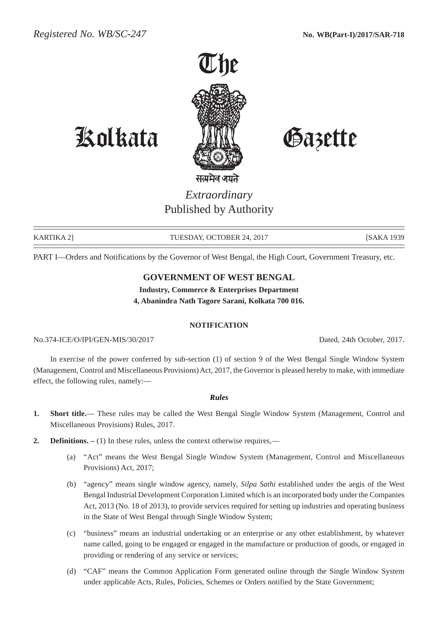

Kolkata Gazette

सत्यमेव जयते *Extraordinary* Published by Authority

KARTIKA 2] TUESDAY, OCTOBER 24, 2017 [SAKA 1939

PART I—Orders and Notifications by the Governor of West Bengal, the High Court, Government Treasury, etc.

## **GOVERNMENT OF WEST BENGAL**

**Industry, Commerce & Enterprises Department 4, Abanindra Nath Tagore Sarani, Kolkata 700 016.**

## **NOTIFICATION**

No.374-ICE/O/IPI/GEN-MIS/30/2017 Dated, 24th October, 2017.

In exercise of the power conferred by sub-section (1) of section 9 of the West Bengal Single Window System (Management, Control and Miscellaneous Provisions) Act, 2017, the Governor is pleased hereby to make, with immediate effect, the following rules, namely:—

## *Rules*

- **1. Short title.** These rules may be called the West Bengal Single Window System (Management, Control and Miscellaneous Provisions) Rules, 2017.
- **2. Definitions.** (1) In these rules, unless the context otherwise requires,—
	- (a) "Act" means the West Bengal Single Window System (Management, Control and Miscellaneous Provisions) Act, 2017;
	- (b) "agency" means single window agency, namely, *Silpa Sathi* established under the aegis of the West Bengal Industrial Development Corporation Limited which is an incorporated body under the Companies Act, 2013 (No. 18 of 2013), to provide services required for setting up industries and operating business in the State of West Bengal through Single Window System;
	- (c) "business" means an industrial undertaking or an enterprise or any other establishment, by whatever name called, going to be engaged or engaged in the manufacture or production of goods, or engaged in providing or rendering of any service or services;
	- (d) "CAF" means the Common Application Form generated online through the Single Window System under applicable Acts, Rules, Policies, Schemes or Orders notified by the State Government;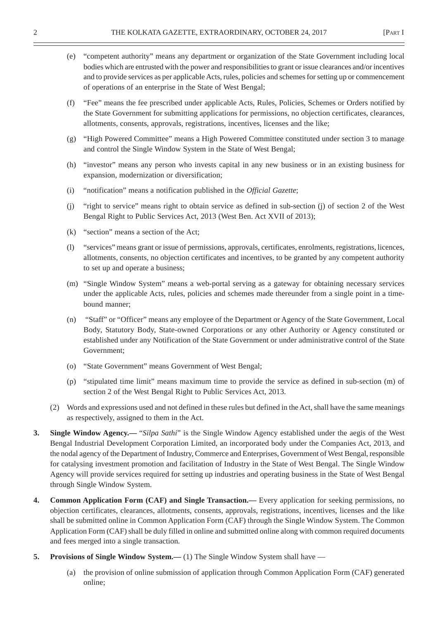- (e) "competent authority" means any department or organization of the State Government including local bodies which are entrusted with the power and responsibilities to grant or issue clearances and/or incentives and to provide services as per applicable Acts, rules, policies and schemes for setting up or commencement of operations of an enterprise in the State of West Bengal;
- (f) "Fee" means the fee prescribed under applicable Acts, Rules, Policies, Schemes or Orders notified by the State Government for submitting applications for permissions, no objection certificates, clearances, allotments, consents, approvals, registrations, incentives, licenses and the like;
- (g) "High Powered Committee" means a High Powered Committee constituted under section 3 to manage and control the Single Window System in the State of West Bengal;
- (h) "investor" means any person who invests capital in any new business or in an existing business for expansion, modernization or diversification;
- (i) "notification" means a notification published in the *Official Gazette*;
- (j) "right to service" means right to obtain service as defined in sub-section (j) of section 2 of the West Bengal Right to Public Services Act, 2013 (West Ben. Act XVII of 2013);
- (k) "section" means a section of the Act;
- (l) "services" means grant or issue of permissions, approvals, certificates, enrolments, registrations, licences, allotments, consents, no objection certificates and incentives, to be granted by any competent authority to set up and operate a business;
- (m) "Single Window System" means a web-portal serving as a gateway for obtaining necessary services under the applicable Acts, rules, policies and schemes made thereunder from a single point in a timebound manner;
- (n) "Staff" or "Officer" means any employee of the Department or Agency of the State Government, Local Body, Statutory Body, State-owned Corporations or any other Authority or Agency constituted or established under any Notification of the State Government or under administrative control of the State Government;
- (o) "State Government" means Government of West Bengal;
- (p) "stipulated time limit" means maximum time to provide the service as defined in sub-section (m) of section 2 of the West Bengal Right to Public Services Act, 2013.
- (2) Words and expressions used and not defined in these rules but defined in the Act, shall have the same meanings as respectively, assigned to them in the Act.
- **3. Single Window Agency.—** "*Silpa Sathi*" is the Single Window Agency established under the aegis of the West Bengal Industrial Development Corporation Limited, an incorporated body under the Companies Act, 2013, and the nodal agency of the Department of Industry, Commerce and Enterprises, Government of West Bengal, responsible for catalysing investment promotion and facilitation of Industry in the State of West Bengal. The Single Window Agency will provide services required for setting up industries and operating business in the State of West Bengal through Single Window System.
- **4. Common Application Form (CAF) and Single Transaction.—** Every application for seeking permissions, no objection certificates, clearances, allotments, consents, approvals, registrations, incentives, licenses and the like shall be submitted online in Common Application Form (CAF) through the Single Window System. The Common Application Form (CAF) shall be duly filled in online and submitted online along with common required documents and fees merged into a single transaction.
- **5. Provisions of Single Window System.—** (1) The Single Window System shall have
	- (a) the provision of online submission of application through Common Application Form (CAF) generated online;